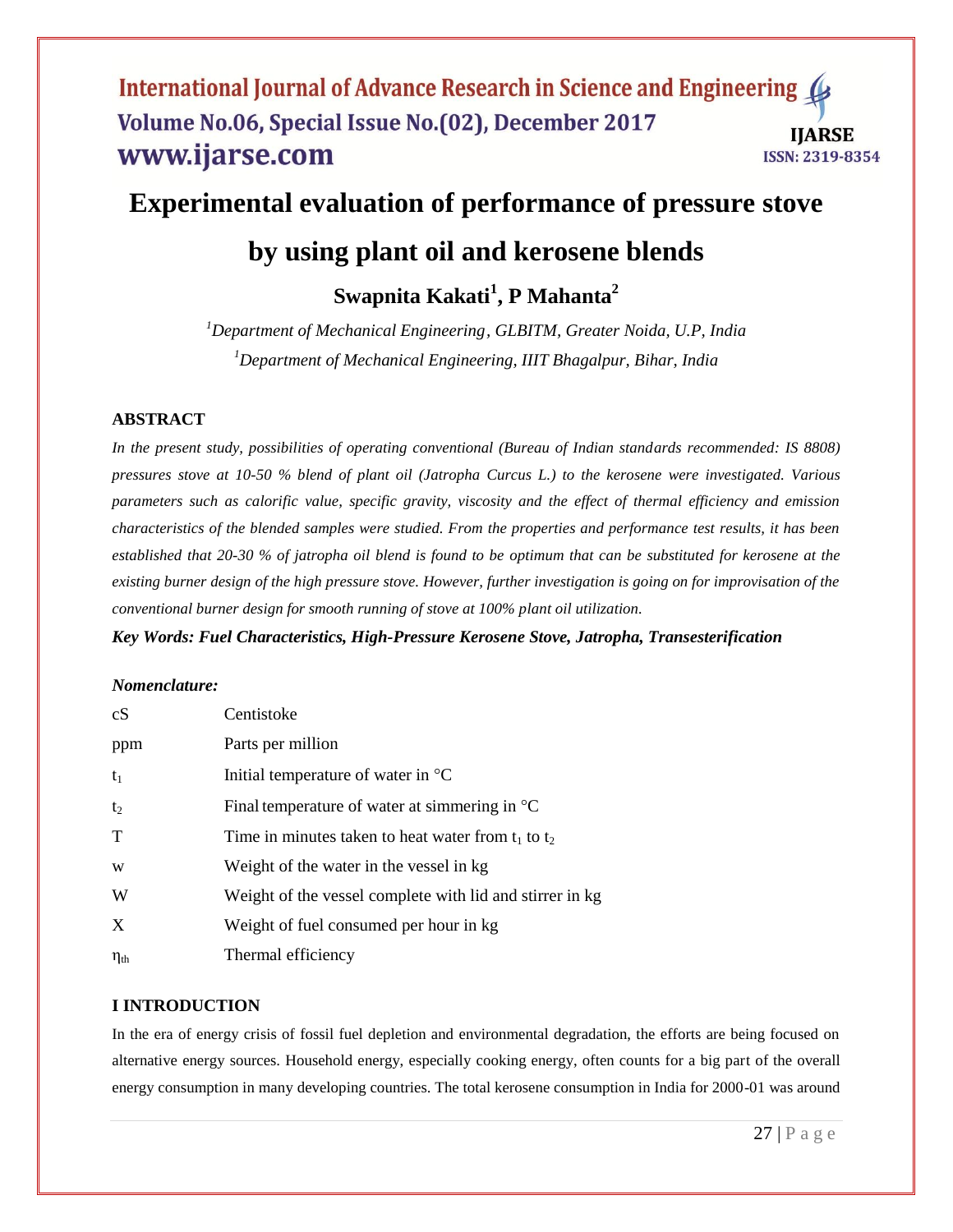## **Experimental evaluation of performance of pressure stove**

# **by using plant oil and kerosene blends**

**Swapnita Kakati<sup>1</sup> , P Mahanta<sup>2</sup>**

*<sup>1</sup>Department of Mechanical Engineering, GLBITM, Greater Noida, U.P, India <sup>1</sup>Department of Mechanical Engineering, IIIT Bhagalpur, Bihar, India*

## **ABSTRACT**

In the present study, possibilities of operating conventional (Bureau of Indian standards recommended: IS 8808) *pressures stove at 10-50 % blend of plant oil (Jatropha Curcus L.) to the kerosene were investigated. Various parameters such as calorific value, specific gravity, viscosity and the effect of thermal efficiency and emission characteristics of the blended samples were studied. From the properties and performance test results, it has been established that 20-30 % of jatropha oil blend is found to be optimum that can be substituted for kerosene at the existing burner design of the high pressure stove. However, further investigation is going on for improvisation of the conventional burner design for smooth running of stove at 100% plant oil utilization.* 

*Key Words: Fuel Characteristics, High-Pressure Kerosene Stove, Jatropha, Transesterification*

### *Nomenclature:*

| cS                 | Centistoke                                               |
|--------------------|----------------------------------------------------------|
| ppm                | Parts per million                                        |
| $t_1$              | Initial temperature of water in $\mathrm{^{\circ}C}$     |
| t <sub>2</sub>     | Final temperature of water at simmering in $^{\circ}C$   |
| T                  | Time in minutes taken to heat water from $t_1$ to $t_2$  |
| W                  | Weight of the water in the vessel in kg                  |
| W                  | Weight of the vessel complete with lid and stirrer in kg |
| X                  | Weight of fuel consumed per hour in kg                   |
| $\eta_{\text{th}}$ | Thermal efficiency                                       |

## **I INTRODUCTION**

In the era of energy crisis of fossil fuel depletion and environmental degradation, the efforts are being focused on alternative energy sources. Household energy, especially cooking energy, often counts for a big part of the overall energy consumption in many developing countries. The total kerosene consumption in India for 2000-01 was around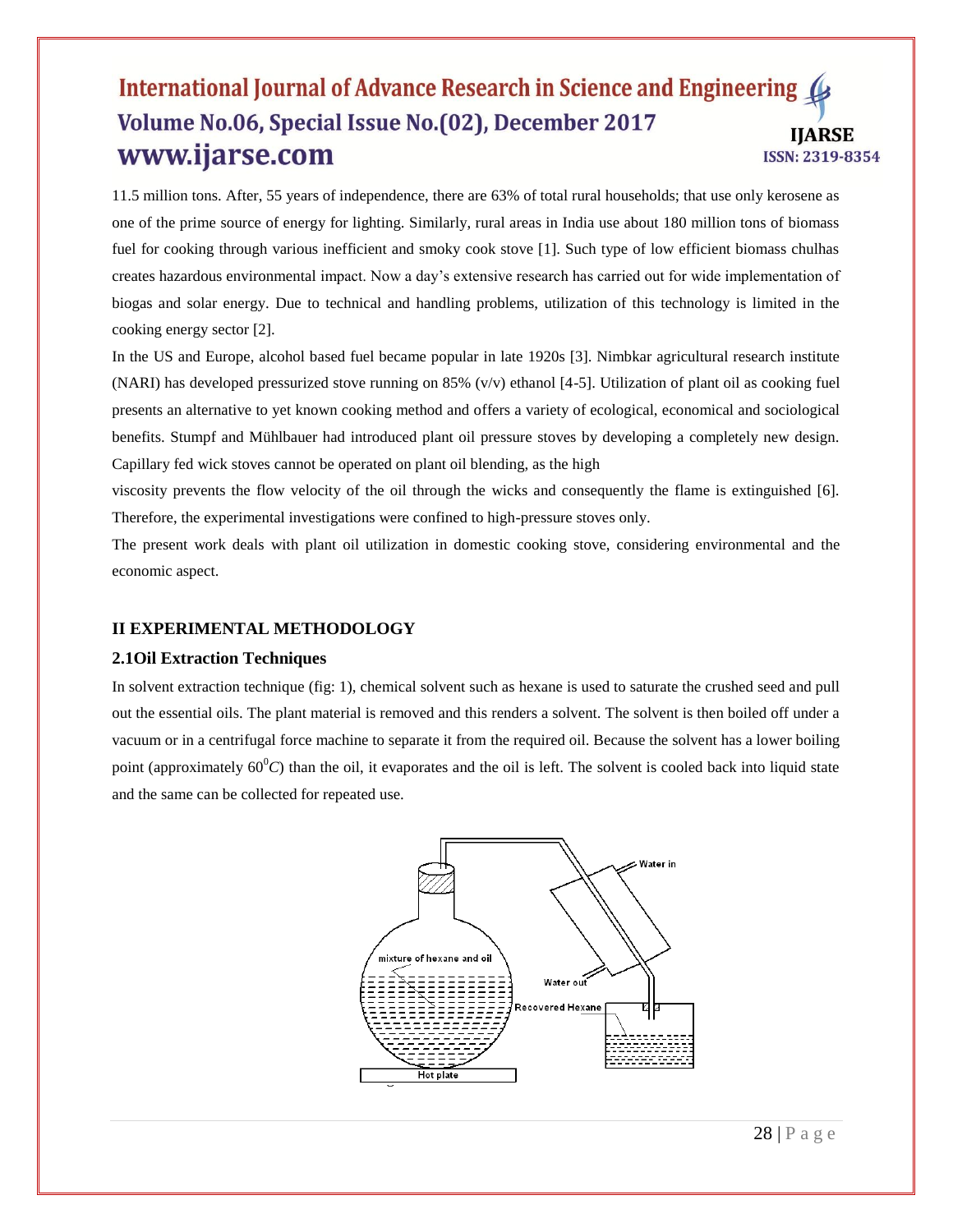11.5 million tons. After, 55 years of independence, there are 63% of total rural households; that use only kerosene as one of the prime source of energy for lighting. Similarly, rural areas in India use about 180 million tons of biomass fuel for cooking through various inefficient and smoky cook stove [1]. Such type of low efficient biomass chulhas creates hazardous environmental impact. Now a day's extensive research has carried out for wide implementation of biogas and solar energy. Due to technical and handling problems, utilization of this technology is limited in the cooking energy sector [2].

In the US and Europe, alcohol based fuel became popular in late 1920s [3]. Nimbkar agricultural research institute (NARI) has developed pressurized stove running on 85% ( $v/v$ ) ethanol [4-5]. Utilization of plant oil as cooking fuel presents an alternative to yet known cooking method and offers a variety of ecological, economical and sociological benefits. Stumpf and Mühlbauer had introduced plant oil pressure stoves by developing a completely new design. Capillary fed wick stoves cannot be operated on plant oil blending, as the high

viscosity prevents the flow velocity of the oil through the wicks and consequently the flame is extinguished [6]. Therefore, the experimental investigations were confined to high-pressure stoves only.

The present work deals with plant oil utilization in domestic cooking stove, considering environmental and the economic aspect.

### **II EXPERIMENTAL METHODOLOGY**

#### **2.1Oil Extraction Techniques**

In solvent extraction technique (fig: 1), chemical solvent such as hexane is used to saturate the crushed seed and pull out the essential oils. The plant material is removed and this renders a solvent. The solvent is then boiled off under a vacuum or in a centrifugal force machine to separate it from the required oil. Because the solvent has a lower boiling point (approximately  $60^{\circ}C$ ) than the oil, it evaporates and the oil is left. The solvent is cooled back into liquid state and the same can be collected for repeated use.

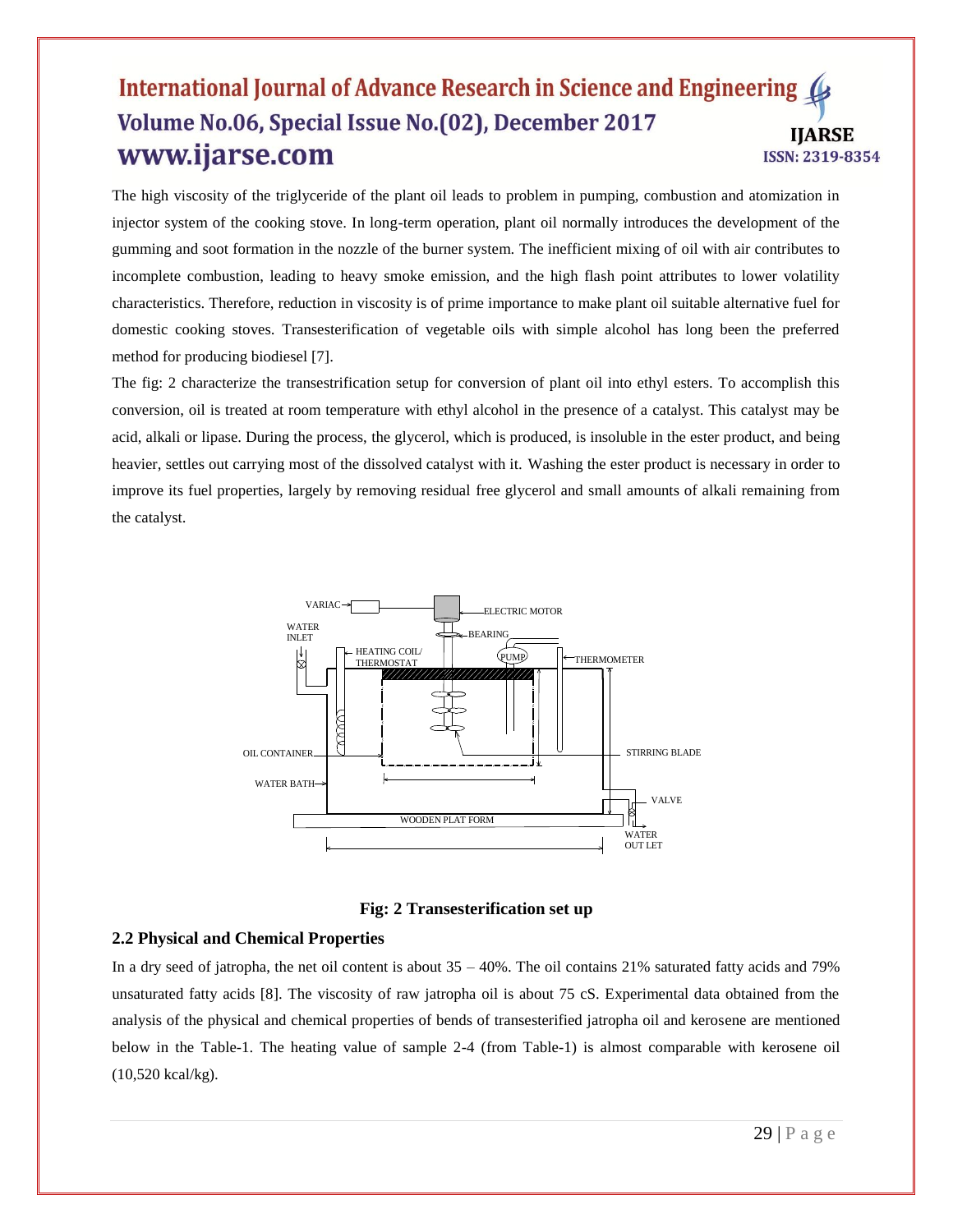The high viscosity of the triglyceride of the plant oil leads to problem in pumping, combustion and atomization in injector system of the cooking stove. In long-term operation, plant oil normally introduces the development of the gumming and soot formation in the nozzle of the burner system. The inefficient mixing of oil with air contributes to incomplete combustion, leading to heavy smoke emission, and the high flash point attributes to lower volatility characteristics. Therefore, reduction in viscosity is of prime importance to make plant oil suitable alternative fuel for domestic cooking stoves. Transesterification of vegetable oils with simple alcohol has long been the preferred method for producing biodiesel [7].

The fig: 2 characterize the transestrification setup for conversion of plant oil into ethyl esters. To accomplish this conversion, oil is treated at room temperature with ethyl alcohol in the presence of a catalyst. This catalyst may be acid, alkali or lipase. During the process, the glycerol, which is produced, is insoluble in the ester product, and being heavier, settles out carrying most of the dissolved catalyst with it. Washing the ester product is necessary in order to improve its fuel properties, largely by removing residual free glycerol and small amounts of alkali remaining from the catalyst.





#### **2.2 Physical and Chemical Properties**

In a dry seed of jatropha, the net oil content is about  $35 - 40\%$ . The oil contains 21% saturated fatty acids and 79% unsaturated fatty acids [8]. The viscosity of raw jatropha oil is about 75 cS. Experimental data obtained from the analysis of the physical and chemical properties of bends of transesterified jatropha oil and kerosene are mentioned below in the Table-1. The heating value of sample 2-4 (from Table-1) is almost comparable with kerosene oil (10,520 kcal/kg).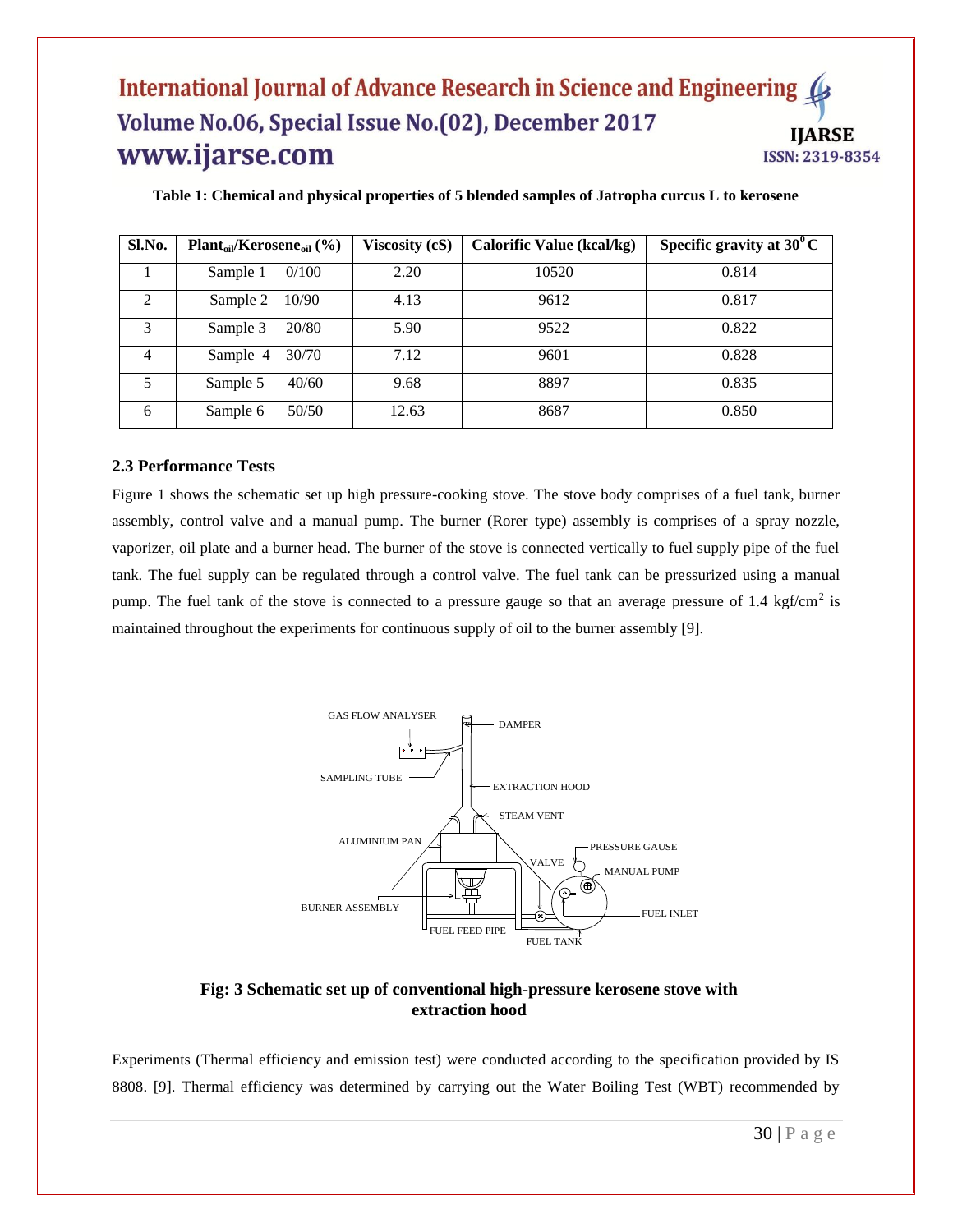| Sl.No.         | $Plant_{oil}/Kerosene_{oil}$ (%) | Viscosity (cS) | <b>Calorific Value (kcal/kg)</b> | Specific gravity at $30^{\circ}$ C |
|----------------|----------------------------------|----------------|----------------------------------|------------------------------------|
|                | 0/100<br>Sample 1                | 2.20           | 10520                            | 0.814                              |
| $\mathfrak{D}$ | 10/90<br>Sample 2                | 4.13           | 9612                             | 0.817                              |
| 3              | 20/80<br>Sample 3                | 5.90           | 9522                             | 0.822                              |
| 4              | 30/70<br>Sample 4                | 7.12           | 9601                             | 0.828                              |
| 5              | 40/60<br>Sample 5                | 9.68           | 8897                             | 0.835                              |
| 6              | 50/50<br>Sample 6                | 12.63          | 8687                             | 0.850                              |

**Table 1: Chemical and physical properties of 5 blended samples of Jatropha curcus L to kerosene**

#### **2.3 Performance Tests**

Figure 1 shows the schematic set up high pressure-cooking stove. The stove body comprises of a fuel tank, burner assembly, control valve and a manual pump. The burner (Rorer type) assembly is comprises of a spray nozzle, vaporizer, oil plate and a burner head. The burner of the stove is connected vertically to fuel supply pipe of the fuel tank. The fuel supply can be regulated through a control valve. The fuel tank can be pressurized using a manual pump. The fuel tank of the stove is connected to a pressure gauge so that an average pressure of 1.4 kgf/cm<sup>2</sup> is maintained throughout the experiments for continuous supply of oil to the burner assembly [9].



### **Fig: 3 Schematic set up of conventional high-pressure kerosene stove with extraction hood**

Experiments (Thermal efficiency and emission test) were conducted according to the specification provided by IS 8808. [9]. Thermal efficiency was determined by carrying out the Water Boiling Test (WBT) recommended by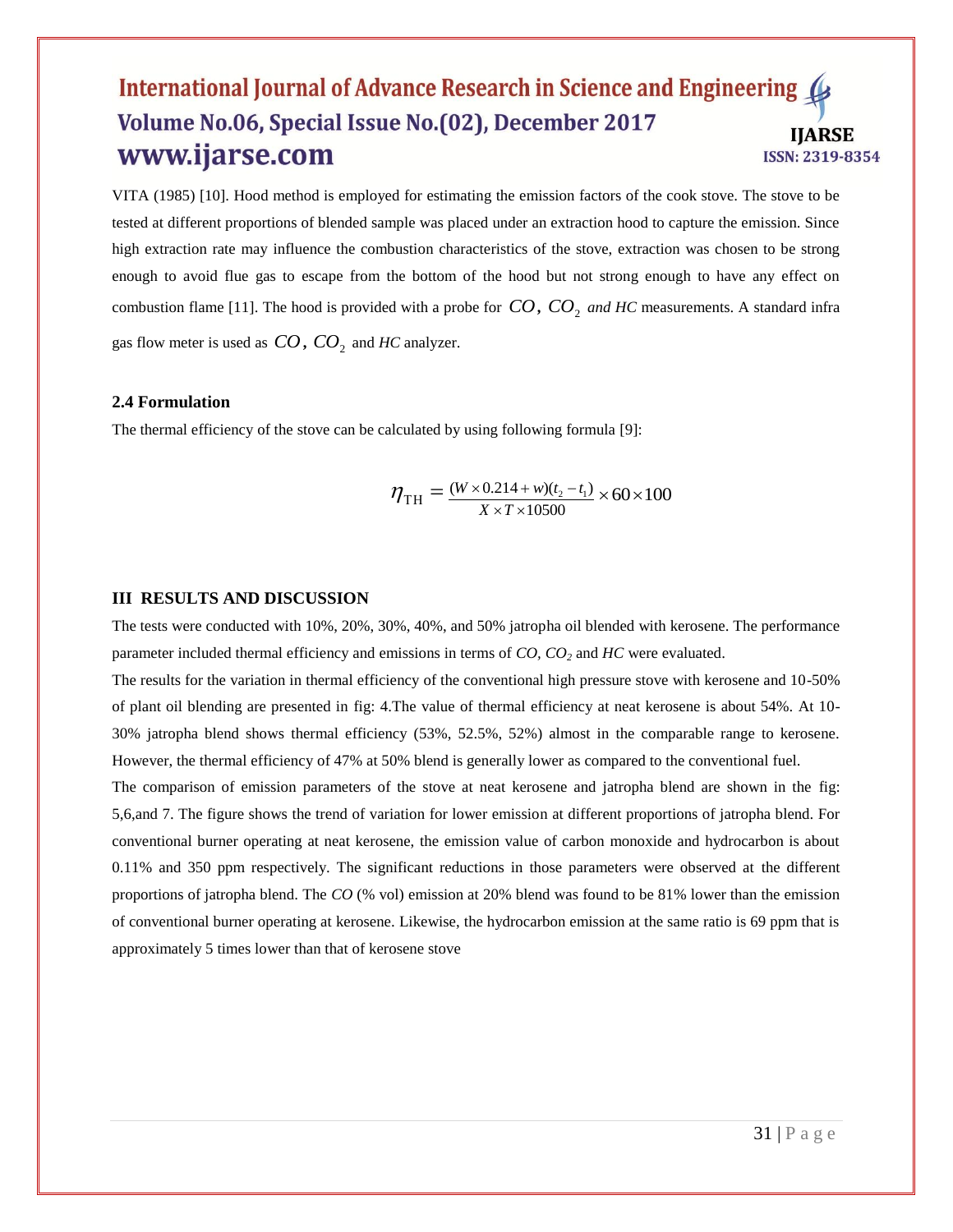VITA (1985) [10]. Hood method is employed for estimating the emission factors of the cook stove. The stove to be tested at different proportions of blended sample was placed under an extraction hood to capture the emission. Since high extraction rate may influence the combustion characteristics of the stove, extraction was chosen to be strong enough to avoid flue gas to escape from the bottom of the hood but not strong enough to have any effect on combustion flame [11]. The hood is provided with a probe for  $CO$ ,  $CO<sub>2</sub>$  and HC measurements. A standard infra gas flow meter is used as  $CO$ ,  $CO_2$  and  $HC$  analyzer.

#### **2.4 Formulation**

The thermal efficiency of the stove can be calculated by using following formula [9]:

$$
\eta_{\text{TH}} = \frac{(W \times 0.214 + w)(t_2 - t_1)}{X \times T \times 10500} \times 60 \times 100
$$

#### **III RESULTS AND DISCUSSION**

The tests were conducted with 10%, 20%, 30%, 40%, and 50% jatropha oil blended with kerosene. The performance parameter included thermal efficiency and emissions in terms of *CO, CO<sup>2</sup>* and *HC* were evaluated.

The results for the variation in thermal efficiency of the conventional high pressure stove with kerosene and 10-50% of plant oil blending are presented in fig: 4.The value of thermal efficiency at neat kerosene is about 54%. At 10- 30% jatropha blend shows thermal efficiency (53%, 52.5%, 52%) almost in the comparable range to kerosene. However, the thermal efficiency of 47% at 50% blend is generally lower as compared to the conventional fuel.

The comparison of emission parameters of the stove at neat kerosene and jatropha blend are shown in the fig: 5,6,and 7. The figure shows the trend of variation for lower emission at different proportions of jatropha blend. For conventional burner operating at neat kerosene, the emission value of carbon monoxide and hydrocarbon is about 0.11% and 350 ppm respectively. The significant reductions in those parameters were observed at the different proportions of jatropha blend. The *CO* (% vol) emission at 20% blend was found to be 81% lower than the emission of conventional burner operating at kerosene. Likewise, the hydrocarbon emission at the same ratio is 69 ppm that is approximately 5 times lower than that of kerosene stove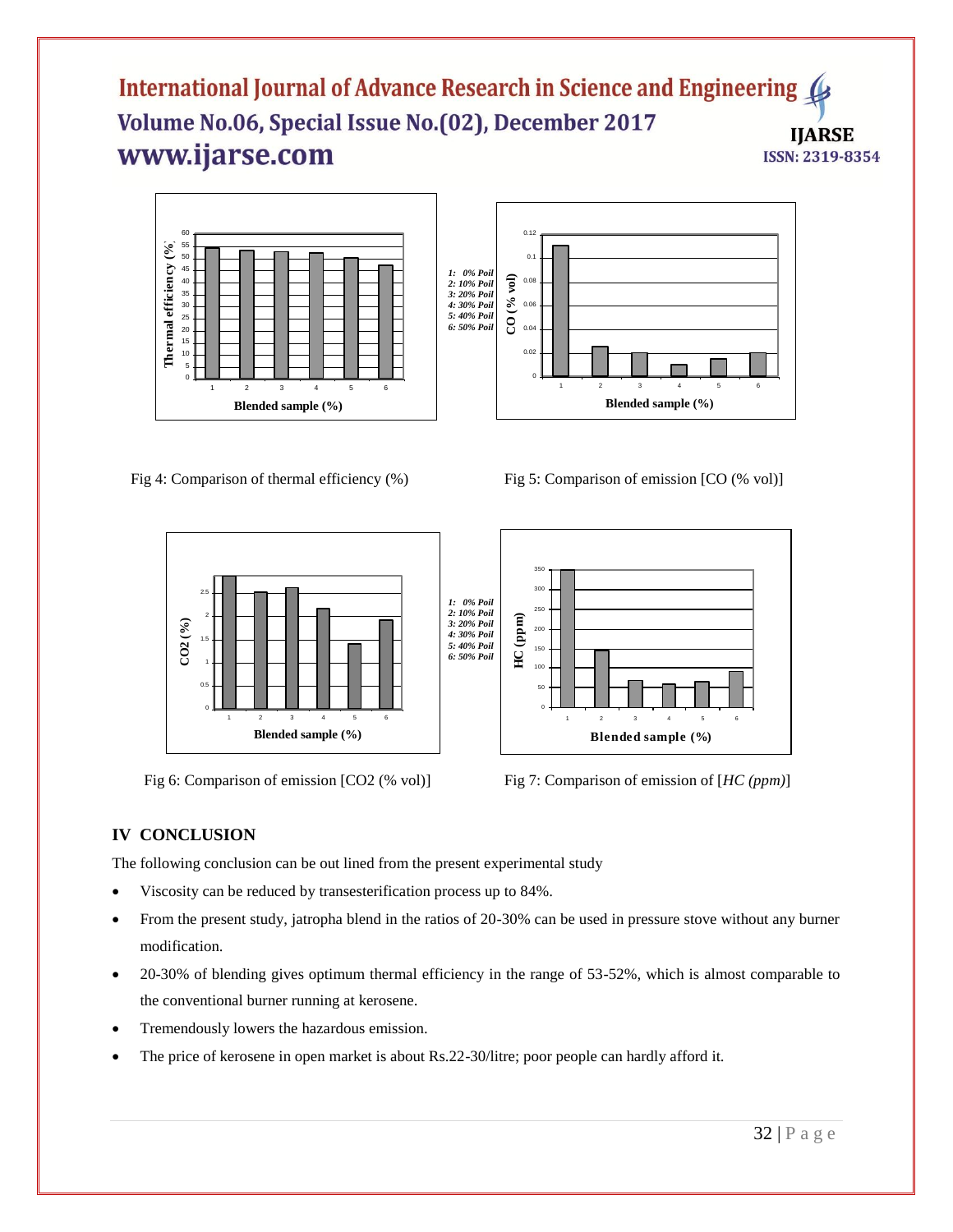





Fig 6: Comparison of emission  $[CO2 (% vol)]$  Fig 7: Comparison of emission of  $[HC (ppm)]$ 





## **IV CONCLUSION**

The following conclusion can be out lined from the present experimental study

- Viscosity can be reduced by transesterification process up to 84%.
- From the present study, jatropha blend in the ratios of 20-30% can be used in pressure stove without any burner modification.
- 20-30% of blending gives optimum thermal efficiency in the range of 53-52%, which is almost comparable to the conventional burner running at kerosene.
- Tremendously lowers the hazardous emission.
- The price of kerosene in open market is about Rs.22-30/litre; poor people can hardly afford it.